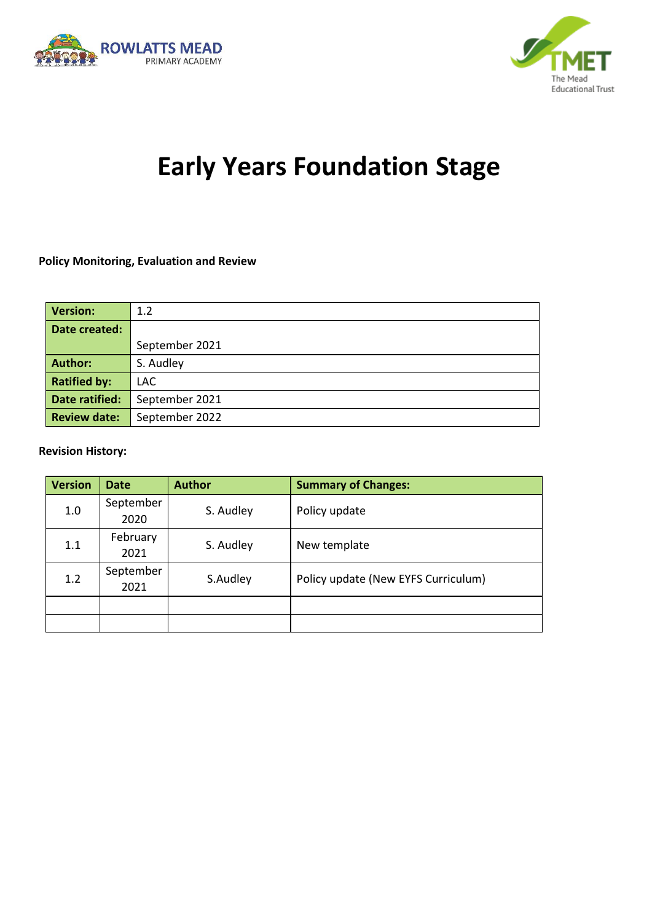



# **Early Years Foundation Stage**

#### **Policy Monitoring, Evaluation and Review**

| <b>Version:</b>     | 1.2            |  |  |
|---------------------|----------------|--|--|
| Date created:       |                |  |  |
|                     | September 2021 |  |  |
| <b>Author:</b>      | S. Audley      |  |  |
| <b>Ratified by:</b> | LAC.           |  |  |
| Date ratified:      | September 2021 |  |  |
| <b>Review date:</b> | September 2022 |  |  |

#### **Revision History:**

| <b>Version</b> | <b>Date</b>       | <b>Author</b> | <b>Summary of Changes:</b>          |
|----------------|-------------------|---------------|-------------------------------------|
| 1.0            | September<br>2020 | S. Audley     | Policy update                       |
| 1.1            | February<br>2021  | S. Audley     | New template                        |
| 1.2            | September<br>2021 | S.Audley      | Policy update (New EYFS Curriculum) |
|                |                   |               |                                     |
|                |                   |               |                                     |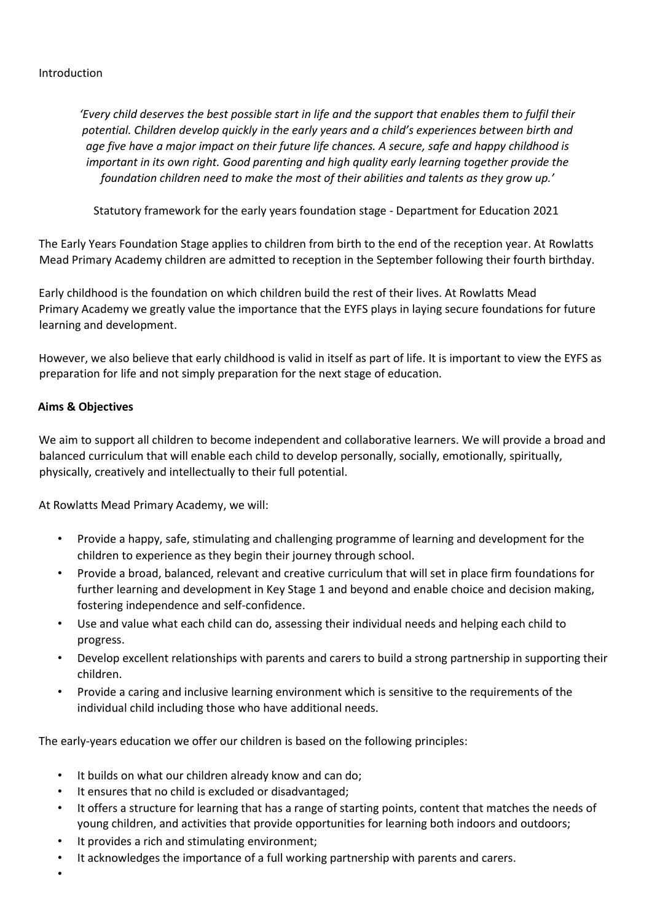#### Introduction

*'Every child deserves the best possible start in life and the support that enables them to fulfil their potential. Children develop quickly in the early years and a child's experiences between birth and age five have a major impact on their future life chances. A secure, safe and happy childhood is important in its own right. Good parenting and high quality early learning together provide the foundation children need to make the most of their abilities and talents as they grow up.'*

Statutory framework for the early years foundation stage - Department for Education 2021

The Early Years Foundation Stage applies to children from birth to the end of the reception year. At Rowlatts Mead Primary Academy children are admitted to reception in the September following their fourth birthday.

Early childhood is the foundation on which children build the rest of their lives. At Rowlatts Mead Primary Academy we greatly value the importance that the EYFS plays in laying secure foundations for future learning and development.

However, we also believe that early childhood is valid in itself as part of life. It is important to view the EYFS as preparation for life and not simply preparation for the next stage of education.

#### **Aims & Objectives**

We aim to support all children to become independent and collaborative learners. We will provide a broad and balanced curriculum that will enable each child to develop personally, socially, emotionally, spiritually, physically, creatively and intellectually to their full potential.

At Rowlatts Mead Primary Academy, we will:

- Provide a happy, safe, stimulating and challenging programme of learning and development for the children to experience as they begin their journey through school.
- Provide a broad, balanced, relevant and creative curriculum that will set in place firm foundations for further learning and development in Key Stage 1 and beyond and enable choice and decision making, fostering independence and self-confidence.
- Use and value what each child can do, assessing their individual needs and helping each child to progress.
- Develop excellent relationships with parents and carers to build a strong partnership in supporting their children.
- Provide a caring and inclusive learning environment which is sensitive to the requirements of the individual child including those who have additional needs.

The early-years education we offer our children is based on the following principles:

- It builds on what our children already know and can do:
- It ensures that no child is excluded or disadvantaged;
- It offers a structure for learning that has a range of starting points, content that matches the needs of young children, and activities that provide opportunities for learning both indoors and outdoors;
- It provides a rich and stimulating environment;
- It acknowledges the importance of a full working partnership with parents and carers.
- •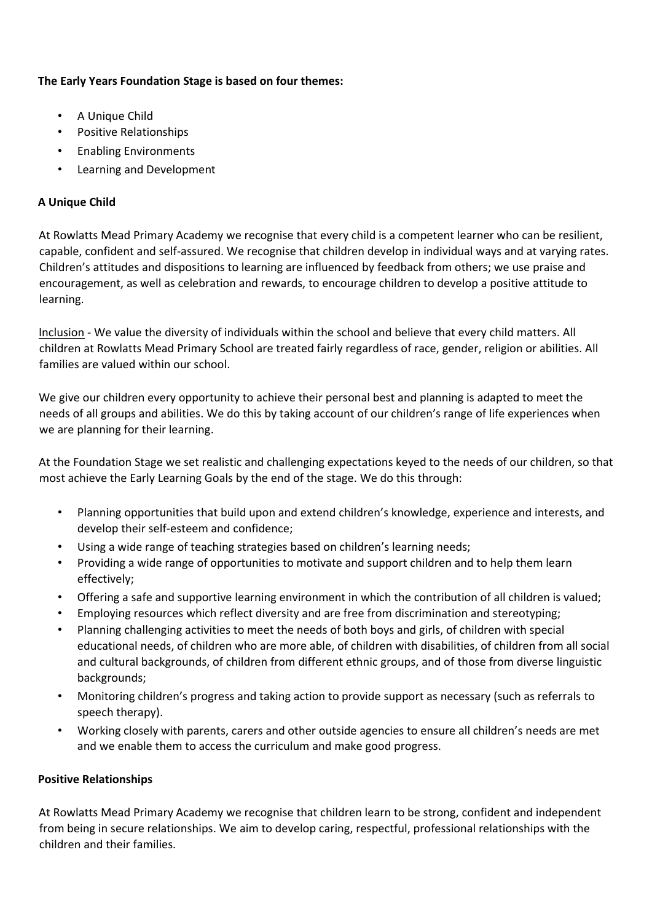## **The Early Years Foundation Stage is based on four themes:**

- A Unique Child
- Positive Relationships
- Enabling Environments
- Learning and Development

## **A Unique Child**

At Rowlatts Mead Primary Academy we recognise that every child is a competent learner who can be resilient, capable, confident and self-assured. We recognise that children develop in individual ways and at varying rates. Children's attitudes and dispositions to learning are influenced by feedback from others; we use praise and encouragement, as well as celebration and rewards, to encourage children to develop a positive attitude to learning.

Inclusion - We value the diversity of individuals within the school and believe that every child matters. All children at Rowlatts Mead Primary School are treated fairly regardless of race, gender, religion or abilities. All families are valued within our school.

We give our children every opportunity to achieve their personal best and planning is adapted to meet the needs of all groups and abilities. We do this by taking account of our children's range of life experiences when we are planning for their learning.

At the Foundation Stage we set realistic and challenging expectations keyed to the needs of our children, so that most achieve the Early Learning Goals by the end of the stage. We do this through:

- Planning opportunities that build upon and extend children's knowledge, experience and interests, and develop their self-esteem and confidence;
- Using a wide range of teaching strategies based on children's learning needs;
- Providing a wide range of opportunities to motivate and support children and to help them learn effectively;
- Offering a safe and supportive learning environment in which the contribution of all children is valued;
- Employing resources which reflect diversity and are free from discrimination and stereotyping;
- Planning challenging activities to meet the needs of both boys and girls, of children with special educational needs, of children who are more able, of children with disabilities, of children from all social and cultural backgrounds, of children from different ethnic groups, and of those from diverse linguistic backgrounds;
- Monitoring children's progress and taking action to provide support as necessary (such as referrals to speech therapy).
- Working closely with parents, carers and other outside agencies to ensure all children's needs are met and we enable them to access the curriculum and make good progress.

#### **Positive Relationships**

At Rowlatts Mead Primary Academy we recognise that children learn to be strong, confident and independent from being in secure relationships. We aim to develop caring, respectful, professional relationships with the children and their families.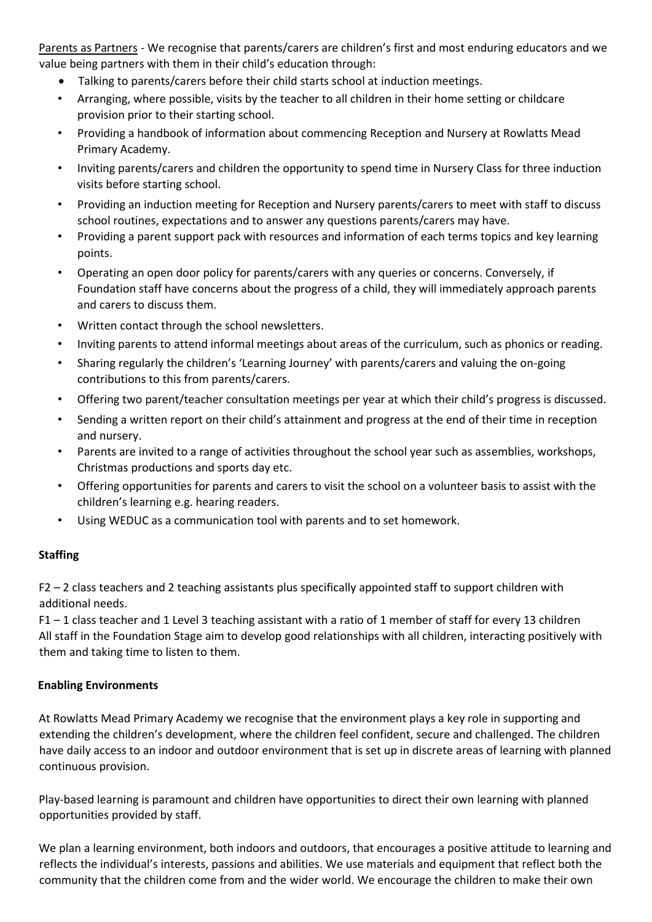Parents as Partners - We recognise that parents/carers are children's first and most enduring educators and we value being partners with them in their child's education through:

- Talking to parents/carers before their child starts school at induction meetings.
- Arranging, where possible, visits by the teacher to all children in their home setting or childcare provision prior to their starting school.
- Providing a handbook of information about commencing Reception and Nursery at Rowlatts Mead Primary Academy.
- Inviting parents/carers and children the opportunity to spend time in Nursery Class for three induction visits before starting school.
- Providing an induction meeting for Reception and Nursery parents/carers to meet with staff to discuss school routines, expectations and to answer any questions parents/carers may have.
- Providing a parent support pack with resources and information of each terms topics and key learning points.
- Operating an open door policy for parents/carers with any queries or concerns. Conversely, if Foundation staff have concerns about the progress of a child, they will immediately approach parents and carers to discuss them.
- Written contact through the school newsletters.
- Inviting parents to attend informal meetings about areas of the curriculum, such as phonics or reading.
- Sharing regularly the children's 'Learning Journey' with parents/carers and valuing the on-going contributions to this from parents/carers.
- Offering two parent/teacher consultation meetings per year at which their child's progress is discussed.
- Sending a written report on their child's attainment and progress at the end of their time in reception and nursery.
- Parents are invited to a range of activities throughout the school year such as assemblies, workshops, Christmas productions and sports day etc.
- Offering opportunities for parents and carers to visit the school on a volunteer basis to assist with the children's learning e.g. hearing readers.
- Using WEDUC as a communication tool with parents and to set homework.

## **Staffing**

F2 – 2 class teachers and 2 teaching assistants plus specifically appointed staff to support children with additional needs.

F1 – 1 class teacher and 1 Level 3 teaching assistant with a ratio of 1 member of staff for every 13 children All staff in the Foundation Stage aim to develop good relationships with all children, interacting positively with them and taking time to listen to them.

## **Enabling Environments**

At Rowlatts Mead Primary Academy we recognise that the environment plays a key role in supporting and extending the children's development, where the children feel confident, secure and challenged. The children have daily access to an indoor and outdoor environment that is set up in discrete areas of learning with planned continuous provision.

Play-based learning is paramount and children have opportunities to direct their own learning with planned opportunities provided by staff.

We plan a learning environment, both indoors and outdoors, that encourages a positive attitude to learning and reflects the individual's interests, passions and abilities. We use materials and equipment that reflect both the community that the children come from and the wider world. We encourage the children to make their own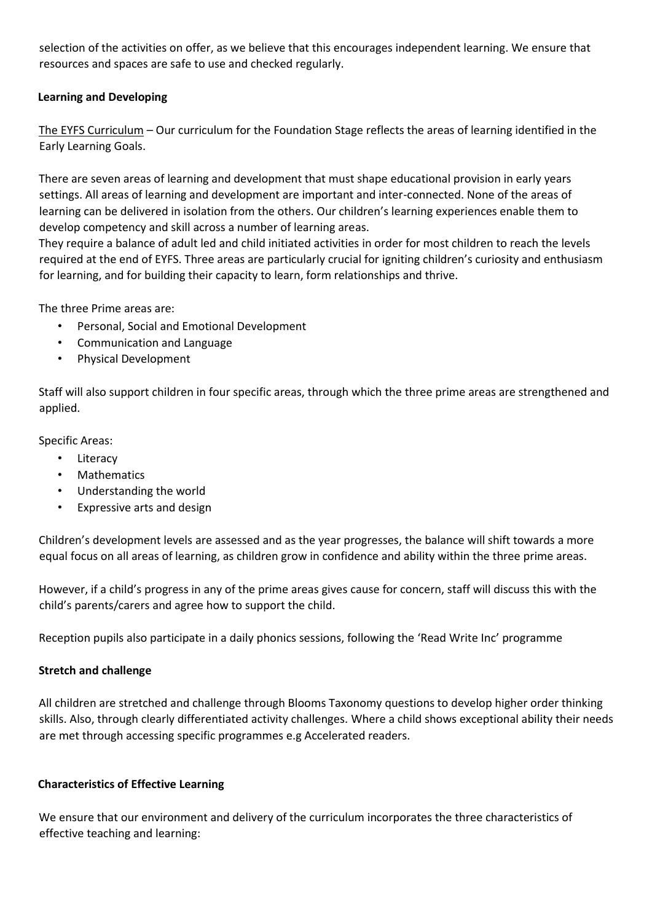selection of the activities on offer, as we believe that this encourages independent learning. We ensure that resources and spaces are safe to use and checked regularly.

## **Learning and Developing**

The EYFS Curriculum – Our curriculum for the Foundation Stage reflects the areas of learning identified in the Early Learning Goals.

There are seven areas of learning and development that must shape educational provision in early years settings. All areas of learning and development are important and inter-connected. None of the areas of learning can be delivered in isolation from the others. Our children's learning experiences enable them to develop competency and skill across a number of learning areas.

They require a balance of adult led and child initiated activities in order for most children to reach the levels required at the end of EYFS. Three areas are particularly crucial for igniting children's curiosity and enthusiasm for learning, and for building their capacity to learn, form relationships and thrive.

The three Prime areas are:

- Personal, Social and Emotional Development
- Communication and Language
- Physical Development

Staff will also support children in four specific areas, through which the three prime areas are strengthened and applied.

Specific Areas:

- Literacy
- **Mathematics**
- Understanding the world
- Expressive arts and design

Children's development levels are assessed and as the year progresses, the balance will shift towards a more equal focus on all areas of learning, as children grow in confidence and ability within the three prime areas.

However, if a child's progress in any of the prime areas gives cause for concern, staff will discuss this with the child's parents/carers and agree how to support the child.

Reception pupils also participate in a daily phonics sessions, following the 'Read Write Inc' programme

#### **Stretch and challenge**

All children are stretched and challenge through Blooms Taxonomy questions to develop higher order thinking skills. Also, through clearly differentiated activity challenges. Where a child shows exceptional ability their needs are met through accessing specific programmes e.g Accelerated readers.

#### **Characteristics of Effective Learning**

We ensure that our environment and delivery of the curriculum incorporates the three characteristics of effective teaching and learning: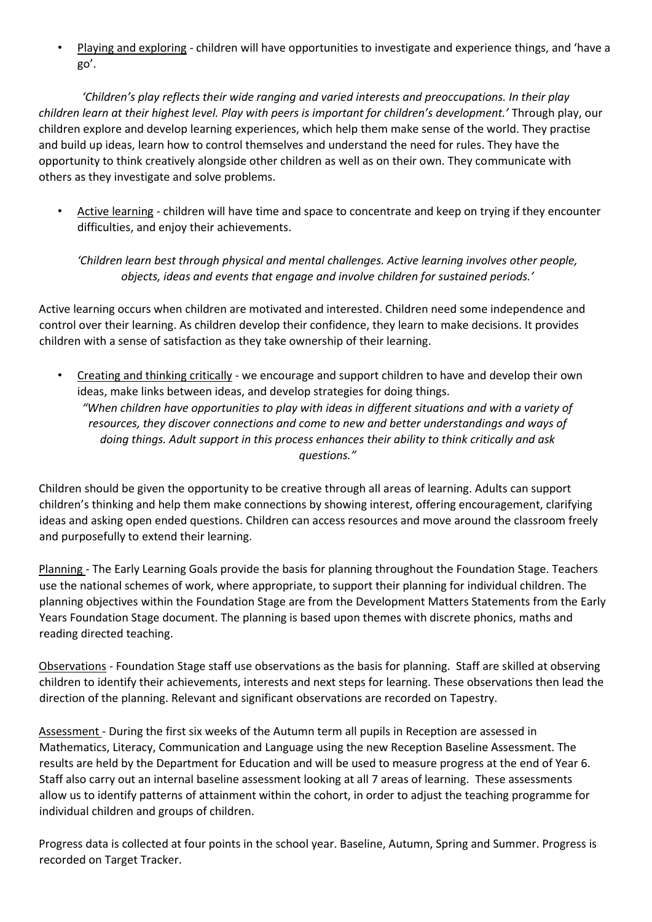• Playing and exploring - children will have opportunities to investigate and experience things, and 'have a go'.

*'Children's play reflects their wide ranging and varied interests and preoccupations. In their play children learn at their highest level. Play with peers is important for children's development.'* Through play, our children explore and develop learning experiences, which help them make sense of the world. They practise and build up ideas, learn how to control themselves and understand the need for rules. They have the opportunity to think creatively alongside other children as well as on their own. They communicate with others as they investigate and solve problems.

• Active learning - children will have time and space to concentrate and keep on trying if they encounter difficulties, and enjoy their achievements.

*'Children learn best through physical and mental challenges. Active learning involves other people, objects, ideas and events that engage and involve children for sustained periods.'* 

Active learning occurs when children are motivated and interested. Children need some independence and control over their learning. As children develop their confidence, they learn to make decisions. It provides children with a sense of satisfaction as they take ownership of their learning.

• Creating and thinking critically - we encourage and support children to have and develop their own ideas, make links between ideas, and develop strategies for doing things. *"When children have opportunities to play with ideas in different situations and with a variety of resources, they discover connections and come to new and better understandings and ways of doing things. Adult support in this process enhances their ability to think critically and ask questions."* 

Children should be given the opportunity to be creative through all areas of learning. Adults can support children's thinking and help them make connections by showing interest, offering encouragement, clarifying ideas and asking open ended questions. Children can access resources and move around the classroom freely and purposefully to extend their learning.

Planning - The Early Learning Goals provide the basis for planning throughout the Foundation Stage. Teachers use the national schemes of work, where appropriate, to support their planning for individual children. The planning objectives within the Foundation Stage are from the Development Matters Statements from the Early Years Foundation Stage document. The planning is based upon themes with discrete phonics, maths and reading directed teaching.

Observations - Foundation Stage staff use observations as the basis for planning. Staff are skilled at observing children to identify their achievements, interests and next steps for learning. These observations then lead the direction of the planning. Relevant and significant observations are recorded on Tapestry.

Assessment - During the first six weeks of the Autumn term all pupils in Reception are assessed in Mathematics, Literacy, Communication and Language using the new Reception Baseline Assessment. The results are held by the Department for Education and will be used to measure progress at the end of Year 6. Staff also carry out an internal baseline assessment looking at all 7 areas of learning. These assessments allow us to identify patterns of attainment within the cohort, in order to adjust the teaching programme for individual children and groups of children.

Progress data is collected at four points in the school year. Baseline, Autumn, Spring and Summer. Progress is recorded on Target Tracker.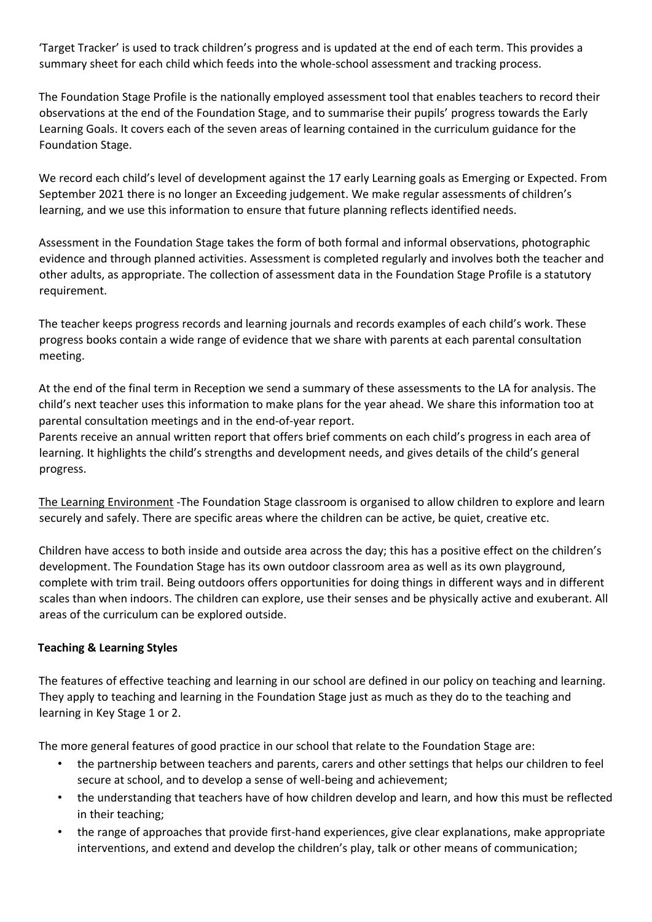'Target Tracker' is used to track children's progress and is updated at the end of each term. This provides a summary sheet for each child which feeds into the whole-school assessment and tracking process.

The Foundation Stage Profile is the nationally employed assessment tool that enables teachers to record their observations at the end of the Foundation Stage, and to summarise their pupils' progress towards the Early Learning Goals. It covers each of the seven areas of learning contained in the curriculum guidance for the Foundation Stage.

We record each child's level of development against the 17 early Learning goals as Emerging or Expected. From September 2021 there is no longer an Exceeding judgement. We make regular assessments of children's learning, and we use this information to ensure that future planning reflects identified needs.

Assessment in the Foundation Stage takes the form of both formal and informal observations, photographic evidence and through planned activities. Assessment is completed regularly and involves both the teacher and other adults, as appropriate. The collection of assessment data in the Foundation Stage Profile is a statutory requirement.

The teacher keeps progress records and learning journals and records examples of each child's work. These progress books contain a wide range of evidence that we share with parents at each parental consultation meeting.

At the end of the final term in Reception we send a summary of these assessments to the LA for analysis. The child's next teacher uses this information to make plans for the year ahead. We share this information too at parental consultation meetings and in the end-of-year report.

Parents receive an annual written report that offers brief comments on each child's progress in each area of learning. It highlights the child's strengths and development needs, and gives details of the child's general progress.

The Learning Environment -The Foundation Stage classroom is organised to allow children to explore and learn securely and safely. There are specific areas where the children can be active, be quiet, creative etc.

Children have access to both inside and outside area across the day; this has a positive effect on the children's development. The Foundation Stage has its own outdoor classroom area as well as its own playground, complete with trim trail. Being outdoors offers opportunities for doing things in different ways and in different scales than when indoors. The children can explore, use their senses and be physically active and exuberant. All areas of the curriculum can be explored outside.

## **Teaching & Learning Styles**

The features of effective teaching and learning in our school are defined in our policy on teaching and learning. They apply to teaching and learning in the Foundation Stage just as much as they do to the teaching and learning in Key Stage 1 or 2.

The more general features of good practice in our school that relate to the Foundation Stage are:

- the partnership between teachers and parents, carers and other settings that helps our children to feel secure at school, and to develop a sense of well-being and achievement;
- the understanding that teachers have of how children develop and learn, and how this must be reflected in their teaching;
- the range of approaches that provide first-hand experiences, give clear explanations, make appropriate interventions, and extend and develop the children's play, talk or other means of communication;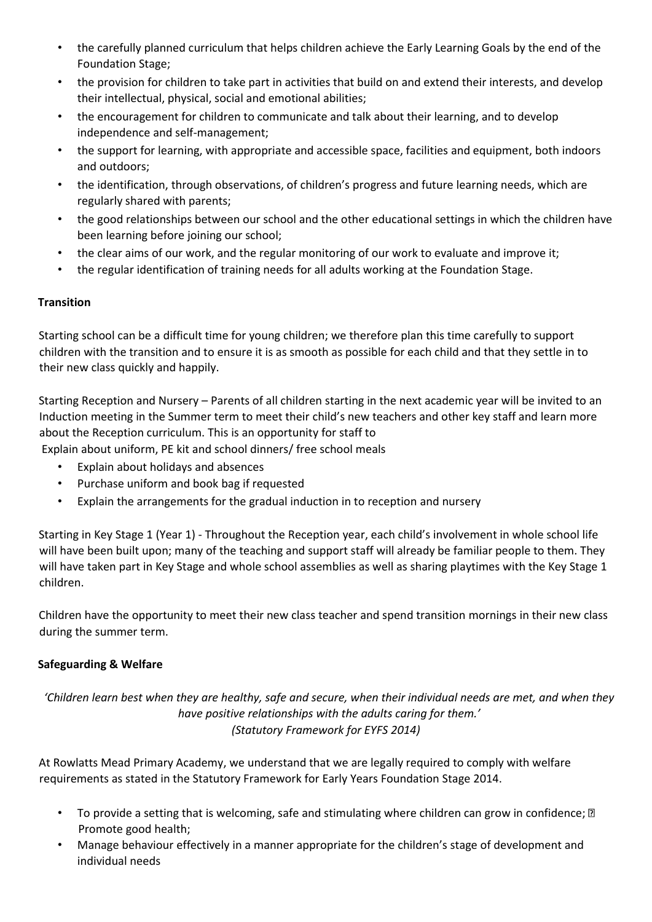- the carefully planned curriculum that helps children achieve the Early Learning Goals by the end of the Foundation Stage;
- the provision for children to take part in activities that build on and extend their interests, and develop their intellectual, physical, social and emotional abilities;
- the encouragement for children to communicate and talk about their learning, and to develop independence and self-management;
- the support for learning, with appropriate and accessible space, facilities and equipment, both indoors and outdoors;
- the identification, through observations, of children's progress and future learning needs, which are regularly shared with parents;
- the good relationships between our school and the other educational settings in which the children have been learning before joining our school;
- the clear aims of our work, and the regular monitoring of our work to evaluate and improve it;
- the regular identification of training needs for all adults working at the Foundation Stage.

## **Transition**

Starting school can be a difficult time for young children; we therefore plan this time carefully to support children with the transition and to ensure it is as smooth as possible for each child and that they settle in to their new class quickly and happily.

Starting Reception and Nursery – Parents of all children starting in the next academic year will be invited to an Induction meeting in the Summer term to meet their child's new teachers and other key staff and learn more about the Reception curriculum. This is an opportunity for staff to

Explain about uniform, PE kit and school dinners/ free school meals

- Explain about holidays and absences
- Purchase uniform and book bag if requested
- Explain the arrangements for the gradual induction in to reception and nursery

Starting in Key Stage 1 (Year 1) - Throughout the Reception year, each child's involvement in whole school life will have been built upon; many of the teaching and support staff will already be familiar people to them. They will have taken part in Key Stage and whole school assemblies as well as sharing playtimes with the Key Stage 1 children.

Children have the opportunity to meet their new class teacher and spend transition mornings in their new class during the summer term.

## **Safeguarding & Welfare**

*'Children learn best when they are healthy, safe and secure, when their individual needs are met, and when they have positive relationships with the adults caring for them.' (Statutory Framework for EYFS 2014)* 

At Rowlatts Mead Primary Academy, we understand that we are legally required to comply with welfare requirements as stated in the Statutory Framework for Early Years Foundation Stage 2014.

- To provide a setting that is welcoming, safe and stimulating where children can grow in confidence;  $\mathbb D$ Promote good health;
- Manage behaviour effectively in a manner appropriate for the children's stage of development and individual needs